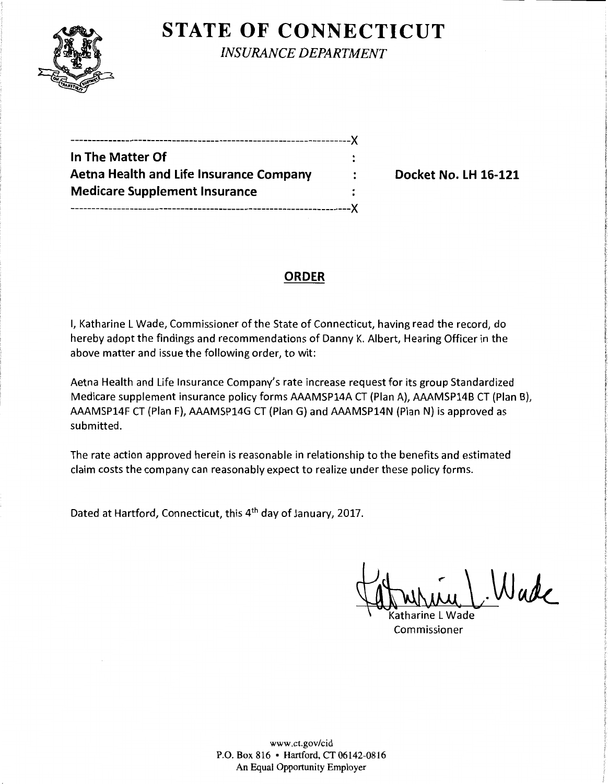

**STATE OF CONNECTICUT** 

*INSURANCE DEPARTMENT* 

| In The Matter Of                               |  |
|------------------------------------------------|--|
| <b>Aetna Health and Life Insurance Company</b> |  |
| <b>Medicare Supplement Insurance</b>           |  |
|                                                |  |

**Docket No. LH 16-121** 

## **ORDER**

I, Katharine L Wade, Commissioner of the State of Connecticut, having read the record, do hereby adopt the findings and recommendations of Danny K. Albert, Hearing Officer in the above matter and issue the following order, to wit:

Aetna Health and Life Insurance Company's rate increase request for its group Standardized Medicare supplement insurance policy forms AAAMSP14A CT (Plan A), AAAMSP14B CT (Plan B), AAAMSP14F CT (Plan F), AAAMSP14G CT (Plan G) and AAAMSP14N {Plan N) is approved as submitted.

The rate action approved herein is reasonable in relationship to the benefits and estimated claim costs the company can reasonably expect to realize under these policy forms.

Dated at Hartford, Connecticut, this 4th day of January, 2017.

While L Wade

Commissioner

www.ct.gov/cid P.O. Box 816 • Hartford, CT 06142-0816 An Equal Opportunity Employer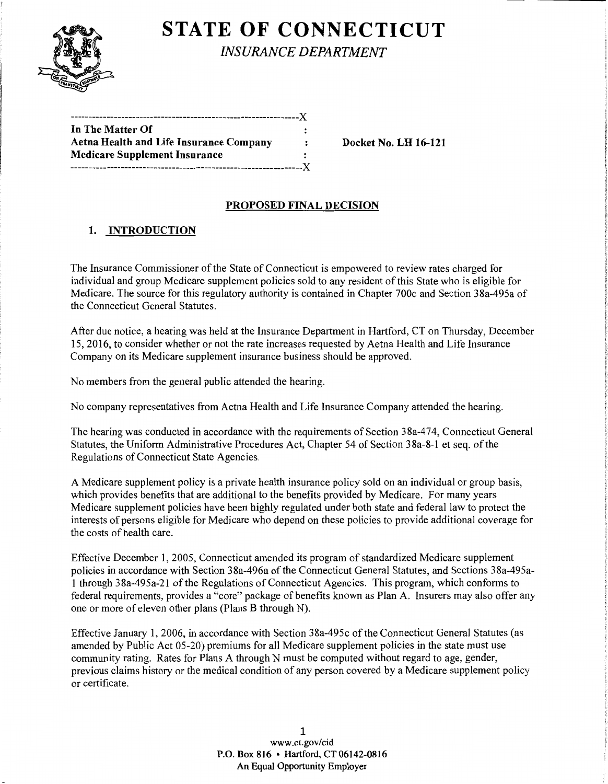

# **STATE OF CONNECTICUT**

*INSURANCE DEPARTMENT* 

| In The Matter Of                               |                      |
|------------------------------------------------|----------------------|
| <b>Aetna Health and Life Insurance Company</b> | $\ddot{\phantom{a}}$ |
| <b>Medicare Supplement Insurance</b>           | ٠                    |
|                                                |                      |

Docket No. LH 16-121

### PROPOSED FINAL DECISION

## 1. INTRODUCTION

The Insurance Commissioner of the State of Connecticut is empowered to review rates charged for individual and group Medicare supplement policies sold to any resident of this State who is eligible for Medicare. The source for this regulatory authority is contained in Chapter 700c and Section 38a-495a of the Connecticut General Statutes.

After due notice, a hearing was held at the Insurance Department in Hartford, CT on Thursday, December 15,2016, to consider whether or not the rate increases requested by Aetna Health and Life Insurance Company on its Medicare supplement insurance business should be approved.

No members from the general public attended the hearing.

No company representatives from Aetna Health and Life Insurance Company attended the hearing.

The hearing was conducted in accordance with the requirements of Section 38a-474, Connecticut General Statutes, the Uniform Administrative Procedures Act, Chapter 54 of Section 38a-8-1 et seq. of the Regulations of Connecticut State Agencies.

A Medicare supplement policy is a private health insurance policy sold on an individual or group basis, which provides benefits that are additional to the benefits provided by Medicare. For many years Medicare supplement policies have been highly regulated under both state and federal law to protect the interests of persons eligible for Medicare who depend on these policies to provide additional coverage for the costs of health care.

Effective December 1, 2005, Connecticut amended its program of standardized Medicare supplement policies in accordance with Section 38a-496a of the Connecticut General Statutes, and Sections 38a-495a-1 through 38a-495a-21 ofthe Regulations of Connecticut Agencies. This program, which conforms to federal requirements, provides a "core" package of benefits known as Plan A. Insurers may also offer any one or more of eleven other plans (Plans B through N).

Effective January 1, 2006, in accordance with Section 38a-495c of the Connecticut General Statutes (as amended by Public Act 05-20) premiums for all Medicare supplement policies in the state must use community rating. Rates for Plans A through N must be computed without regard to age, gender, previous claims history or the medical condition of any person covered by a Medicare supplement policy or certificate.

> 1 www.ct.gov/cid P.O. Box 816 • Hartford, CT 06142-0816 An Equal Opportunity Employer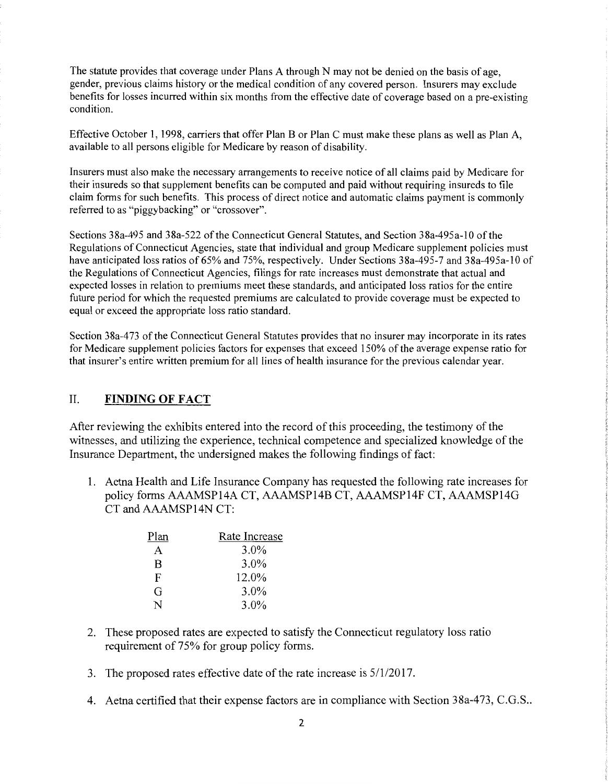The statute provides that coverage under Plans A through N may not be denied on the basis of age, gender, previous claims history or the medical condition of any covered person. Insurers may exclude benefits for losses incurred within six months from the effective date of coverage based on a pre-existing condition.

Effective October 1, 1998, carriers that offer Plan B or Plan C must make these plans as well as Plan A, available to all persons eligible for Medicare by reason of disability.

Insurers must also make the necessary arrangements to receive notice of all claims paid by Medicare for their insureds so that supplement benefits can be computed and paid without requiring insureds to file claim forms for such benefits. This process of direct notice and automatic claims payment is commonly referred to as "piggybacking" or "crossover".

Sections 38a-495 and 38a-522 of the Connecticut General Statutes, and Section 38a-495a-10 of the Regulations of Connecticut Agencies, state that individual and group Medicare supplement policies must have anticipated loss ratios of 65% and 75%, respectively. Under Sections 38a-495-7 and 38a-495a-10 of the Regulations of Connecticut Agencies, filings for rate increases must demonstrate that actual and expected losses in relation to premiums meet these standards, and anticipated loss ratios for the entire future period for which the requested premiums are calculated to provide coverage must be expected to equal or exceed the appropriate loss ratio standard.

Section 38a-473 of the Connecticut General Statutes provides that no insurer may incorporate in its rates for Medicare supplement policies factors for expenses that exceed 150% of the average expense ratio for that insurer's entire written premium for all lines of health insurance for the previous calendar year.

#### II. **FINDING OF FACT**

After reviewing the exhibits entered into the record of this proceeding, the testimony of the witnesses, and utilizing the experience, technical competence and specialized knowledge of the Insurance Department, the undersigned makes the following findings of fact:

1. Aetna Health and Life Insurance Company has requested the following rate increases for policy forms AAAMSP14A CT, AAAMSP14B CT, AAAMSP14F CT, AAAMSP14G CT and AAAMSP14N CT:

| Plan | Rate Increase |
|------|---------------|
| А    | $3.0\%$       |
| R    | $3.0\%$       |
| F    | 12.0%         |
| G    | $3.0\%$       |
| N    | $3.0\%$       |

- 2. These proposed rates are expected to satisfy the Connecticut regulatory loss ratio requirement of 75% for group policy forms.
- 3. The proposed rates effective date of the rate increase is  $5/1/2017$ .
- 4. Aetna certified that their expense factors are in compliance with Section 38a-473, C.G.S..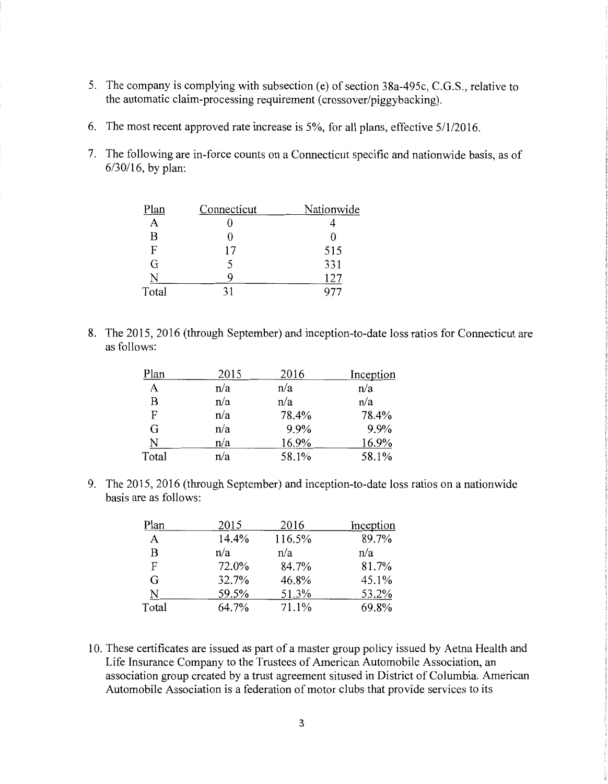- 5. The company is complying with subsection (e) of section 38a-495c, C.G.S., relative to the automatic claim-processing requirement (crossover/piggybacking).
- 6. The most recent approved rate increase is  $5\%$ , for all plans, effective  $5/1/2016$ .
- 7. The following are in-force counts on a Connecticut specific and nationwide basis, as of 6/30/16, by plan:

| Plan  | Connecticut | Nationwide |
|-------|-------------|------------|
|       |             |            |
| B     |             |            |
| F     | 17          | 515        |
| G     |             | 331        |
| N     | 9           | 127        |
| Total | 31          |            |

8. The 2015, 2016 (through September) and inception-to-date loss ratios for Connecticut are as follows:

| Plan  | 2015 | 2016  | Inception |
|-------|------|-------|-----------|
| A     | n/a  | n/a   | n/a       |
| B     | n/a  | n/a   | n/a       |
| F     | n/a  | 78.4% | 78.4%     |
| G     | n/a  | 9.9%  | 9.9%      |
| N     | n/a  | 16.9% | 16.9%     |
| Total | n/a  | 58.1% | 58.1%     |

9. The 2015, 2016 (through September) and inception-to-date loss ratios on a nationwide basis are as follows:

| Plan  | 2015  | 2016   | Inception |
|-------|-------|--------|-----------|
| A     | 14.4% | 116.5% | 89.7%     |
| B     | n/a   | n/a    | n/a       |
| F     | 72.0% | 84.7%  | 81.7%     |
| G     | 32.7% | 46.8%  | 45.1%     |
| N     | 59.5% | 51.3%  | 53.2%     |
| Total | 64.7% | 71.1%  | 69.8%     |

10. These certificates are issued as part of a master group policy issued by Aetna Health and Life Insurance Company to the Trustees of American Automobile Association, an association group created by a trust agreement sitused in District of Columbia. American Automobile Association is a federation of motor clubs that provide services to its